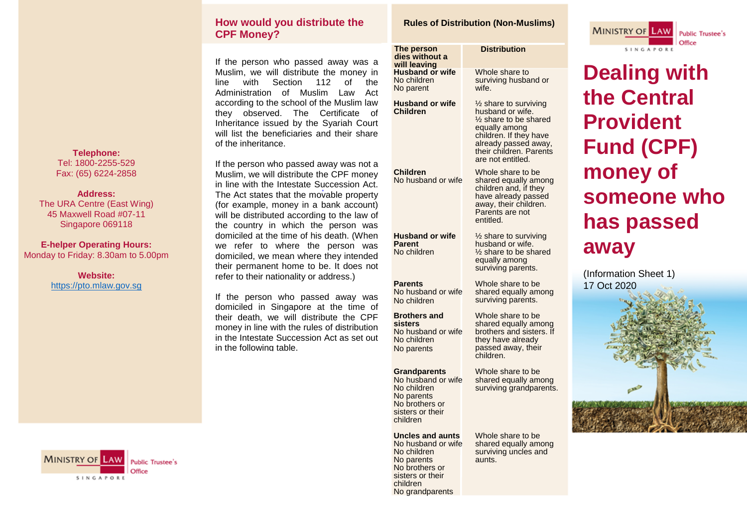#### **How would you distribute the CPF Money?**

If the person who passed away was a Muslim, we will distribute the money in line with Section 112 of the Administration of Muslim Law Act according to the school of the Muslim law they observed. The Certificate of Inheritance issued by the Syariah Court will list the beneficiaries and their share of the inheritance.

If the person who passed away was not a Muslim, we will distribute the CPF money in line with the Intestate Succession Act. The Act states that the movable property (for example, money in a bank account) will be distributed according to the law of the country in which the person was domiciled at the time of his death. (When we refer to where the person was domiciled, we mean where they intended their permanent home to be. It does not refer to their nationality or address.)

If the person who passed away was domiciled in Singapore at the time of their death, we will distribute the CPF money in line with the rules of distribution in the Intestate Succession Act as set out in the following table.



**Telephone:** Tel: 1800-2255-529 Fax: (65) 6224-2858

**Address:** The URA Centre (East Wing) 45 Maxwell Road #07-11 Singapore 069118

**E-helper Operating Hours:** Monday to Friday: 8.30am to 5.00pm

> **Website:** [https://pto.mlaw.gov.sg](https://pto.mlaw.gov.sg/)

#### **Rules of Distribution (Non-Muslims)**

| The person<br>dies without a<br>will leaving                                                                                             | <b>Distribution</b>                                                                                                                                                                     |  |
|------------------------------------------------------------------------------------------------------------------------------------------|-----------------------------------------------------------------------------------------------------------------------------------------------------------------------------------------|--|
| <b>Husband or wife</b><br>No children<br>No parent                                                                                       | Whole share to<br>surviving husband or<br>wife.                                                                                                                                         |  |
| <b>Husband or wife</b><br><b>Children</b>                                                                                                | 1/2 share to surviving<br>husband or wife.<br>1/2 share to be shared<br>equally among<br>children. If they have<br>already passed away,<br>their children. Parents<br>are not entitled. |  |
| <b>Children</b><br>No husband or wife                                                                                                    | Whole share to be<br>shared equally among<br>children and, if they<br>have already passed<br>away, their children.<br>Parents are not<br>entitled.                                      |  |
| <b>Husband or wife</b><br><b>Parent</b><br>No children                                                                                   | 1/2 share to surviving<br>husband or wife.<br>$\frac{1}{2}$ share to be shared<br>equally among<br>surviving parents.                                                                   |  |
| <b>Parents</b><br>No husband or wife<br>No children                                                                                      | Whole share to be<br>shared equally among<br>surviving parents.                                                                                                                         |  |
| <b>Brothers and</b><br>sisters<br>No husband or wife<br>No children<br>No parents                                                        | Whole share to be<br>shared equally among<br>brothers and sisters. If<br>they have already<br>passed away, their<br>children.                                                           |  |
| <b>Grandparents</b><br>No husband or wife<br>No children<br>No parents<br>No brothers or<br>sisters or their<br>children                 | Whole share to be<br>shared equally among<br>surviving grandparents.                                                                                                                    |  |
| Uncles and aunts<br>No husband or wife<br>No children<br>No parents<br>No brothers or<br>sisters or their<br>children<br>No grandparents | Whole share to be<br>shared equally among<br>surviving uncles and<br>aunts.                                                                                                             |  |



**Dealing with the Central Provident Fund (CPF) money of someone who has passed away**

(Information Sheet 1) 17 Oct 2020